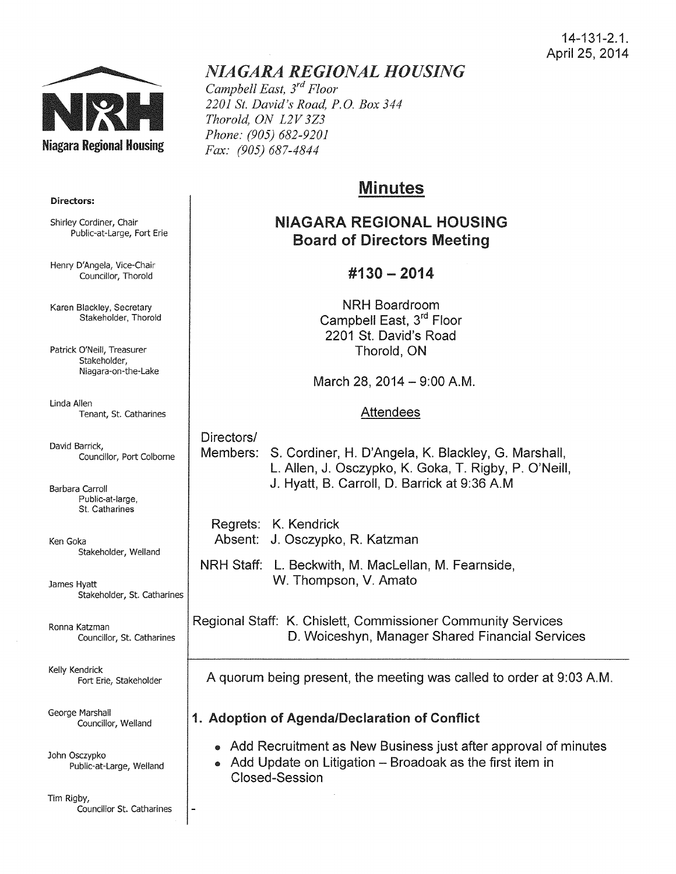

# *NIAGARA REGIONAL HOUSING*

*Campbell East, 3rd Floor 2201 St. David's Road, P.O. Box 344 Thorold, ON L2V 3Z3 Phone: (905) 682-9201 Fax: (905) 687-4844* 

# Minutes

# NIAGARA REGIONAL HOUSING Board of Directors Meeting

## #130- 2014

NRH Boardroom Campbell East, 3<sup>rd</sup> Floor 2201 St. David's Road Thorold, ON

March 28, 2014 - 9:00 A.M.

#### **Attendees**

### Directors/

Members: S. Cordiner, H. D'Angela, K. Blackley, G. Marshall, L. Allen, J. Osczypko, K. Goka, T. Rigby, P. O'Neill, J. Hyatt, B. Carroll, D. Barrick at 9:36 A.M

Regrets: K. Kendrick Absent: J. Osczypko, R. Katzman

NRH Staff: L. Beckwith, M. Maclellan, M. Fearnside, W. Thompson, V. Amato

Regional Staff: K. Chislett, Commissioner Community Services D. Woiceshyn, Manager Shared Financial Services

A quorum being present, the meeting was called to order at 9:03A.M.

### 1. Adoption of Agenda/Declaration of Conflict

- Add Recruitment as New Business just after approval of minutes
- Add Update on Litigation Broadoak as the first item in Closed-Session

#### Directors:

Shirley Cordiner, Chair Public-at-Large, Fort Erie

Henry D'Angela, Vice-Chair Councillor, Thorold

Karen Blackley, Secretary Stakeholder, Thorold

Patrick O'Neill, Treasurer Stakeholder, Niagara-on-the-Lake

Linda Allen Tenant, St. Catharines

David Barrick, Councillor, Port Colborne

Barbara Carroll Public-at-large, St. Catharines

Ken Goka Stakeholder, Weiland

James Hyatt Stakeholder, St. Catharines

Ronna Katzman Councillor, St. Catharines

Kelly Kendrick Fort Erie, Stakeholder

George Marshall Councillor, Weiland

John Osczypko Public-at-Large, Weiland

Tim Rigby, Councillor St. Catharines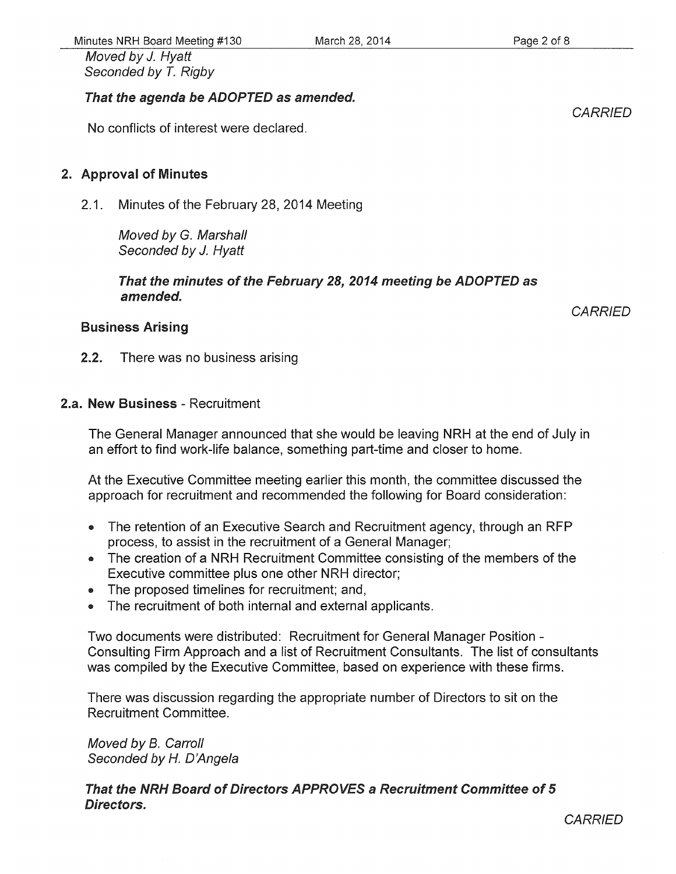Moved by J. Hyatt Seconded by T. Rigby

#### That the agenda be ADOPTED as amended.

No conflicts of interest were declared.

#### 2. Approval of Minutes

2.1. Minutes of the February 28, 2014 Meeting

Moved by G. Marshall Seconded by J. Hyatt

That the minutes of the February 28, 2014 meeting be ADOPTED as amended.

#### Business Arising

2.2. There was no business arising

#### 2.a. New Business - Recruitment

The General Manager announced that she would be leaving NRH at the end of July in an effort to find work-life balance, something part-time and closer to home.

At the Executive Committee meeting earlier this month, the committee discussed the approach for recruitment and recommended the following for Board consideration:

- The retention of an Executive Search and Recruitment agency, through an RFP process, to assist in the recruitment of a General Manager;
- The creation of a NRH Recruitment Committee consisting of the members of the Executive committee plus one other NRH director;
- The proposed timelines for recruitment; and,
- The recruitment of both internal and external applicants.

Two documents were distributed: Recruitment for General Manager Position-Consulting Firm Approach and a list of Recruitment Consultants. The list of consultants was compiled by the Executive Committee, based on experience with these firms.

There was discussion regarding the appropriate number of Directors to sit on the Recruitment Committee.

Moved by B. Carroll Seconded by *H.* D'Angela

That the NRH Board of Directors APPROVES a Recruitment Committee of 5 Directors.

**CARRIED** 

**CARRIED**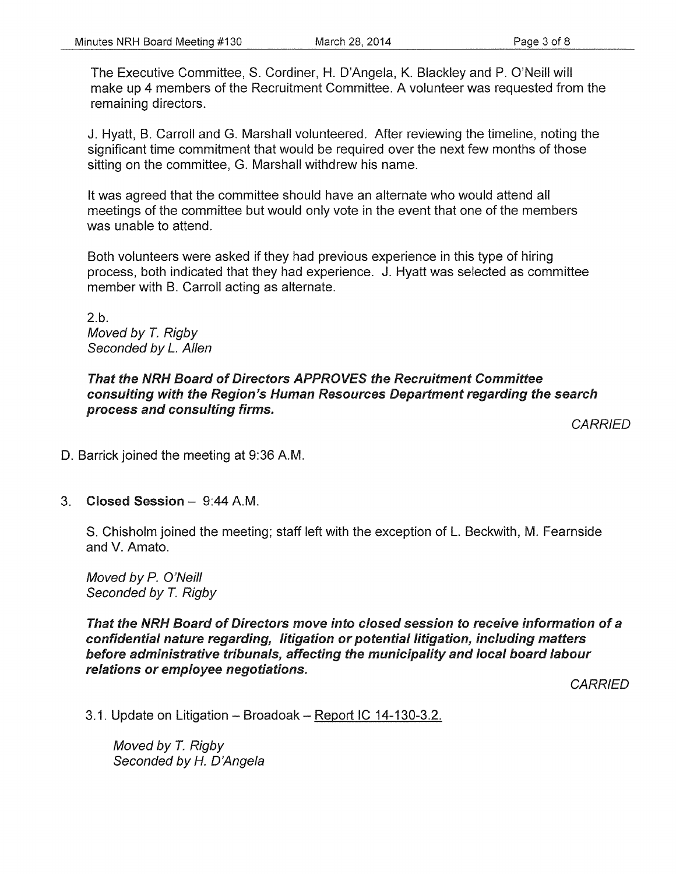The Executive Committee, S. Cordiner, H. D'Angela, K. Blackley and P. O'Neill will make up 4 members of the Recruitment Committee. A volunteer was requested from the remaining directors.

J. Hyatt, B. Carroll and G. Marshall volunteered. After reviewing the timeline, noting the significant time commitment that would be required over the next few months of those sitting on the committee, G. Marshall withdrew his name.

It was agreed that the committee should have an alternate who would attend all meetings of the committee but would only vote in the event that one of the members was unable to attend.

Both volunteers were asked if they had previous experience in this type of hiring process, both indicated that they had experience. J. Hyatt was selected as committee member with B. Carroll acting as alternate.

2.b. Moved by T. Rigby Seconded by *L.* Allen

#### That the NRH Board of Directors APPROVES the Recruitment Committee consulting with the Region's Human Resources Department regarding the search process and consulting firms.

**CARRIED** 

D. Barrick joined the meeting at 9:36 A.M.

#### 3. Closed Session - 9:44 A.M.

S. Chisholm joined the meeting; staff left with the exception of L. Beckwith, M. Fearnside and V. Amato.

Moved by P. O'Neill Seconded by *T.* Rigby

That the NRH Board of Directors move into closed session to receive information of a confidential nature regarding, litigation or potential litigation, including matters before administrative tribunals, affecting the municipality and local board labour relations or employee negotiations.

**CARRIED** 

3.1. Update on Litigation - Broadoak - Report IC 14-130-3.2.

Moved by *T.* Rigby Seconded by H. D'Angela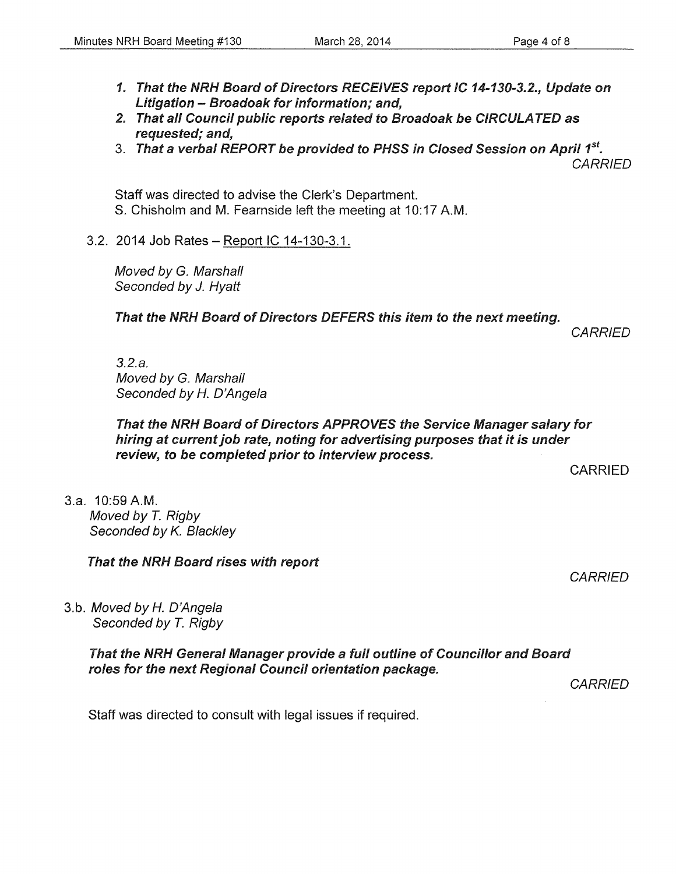- 1. That the NRH Board of Directors RECEIVES report IC 14-130-3.2., Update on Litigation- Broadoak for information; and,
- 2. That all Council public reports related to Broadoak be CIRCULATED as requested; and,
- 3. That a verbal REPORT be provided to PHSS in Closed Session on April *1st.*  **CARRIED**

Staff was directed to advise the Clerk's Department. S. Chisholm and M. Fearnside left the meeting at 10:17 A.M.

3.2. 2014 Job Rates- Report IC 14-130-3.1.

Moved by G. Marshall Seconded by J. Hyatt

That the NRH Board of Directors DEFERS this item to the next meeting.

*CARRIED* 

3.2.a. Moved by G. Marshall Seconded by *H.* D'Angela

#### That the NRH Board of Directors APPROVES the Service Manager salary for hiring at current job rate, noting for advertising purposes that it is under review, to be completed prior to interview process.

CARRIED

3.a. 10:59 AM. Moved by *T.* Rigby Seconded by K. Blackley

That the NRH Board rises with report

**CARRIED** 

3.b. Moved by *H.* D'Angela Seconded by *T.* Rigby

> That the NRH General Manager provide a full outline of Councillor and Board roles for the next Regional Council orientation package.

> > **CARRIED**

Staff was directed to consult with legal issues if required.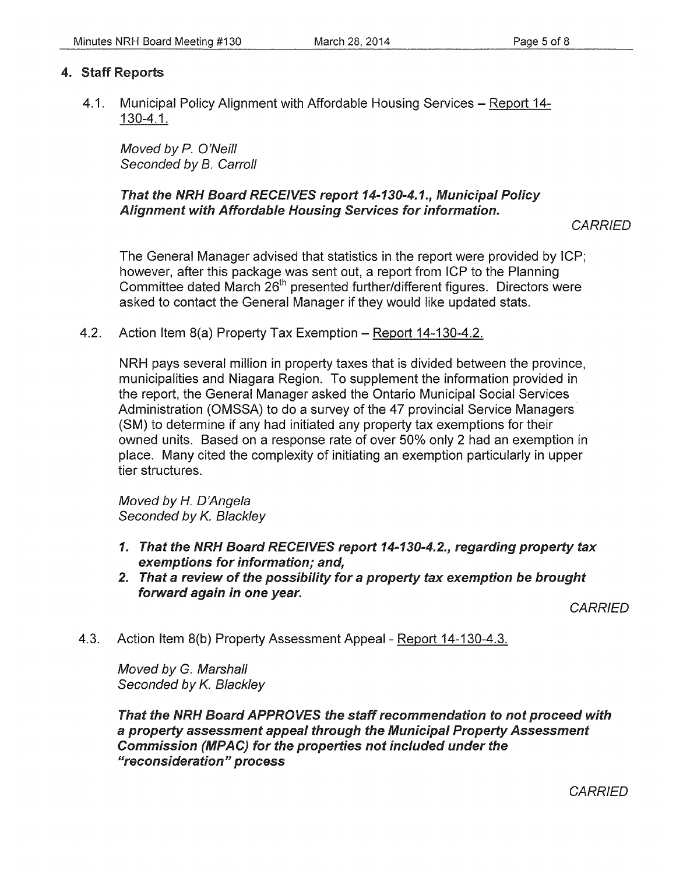#### 4. Staff Reports

4.1. Municipal Policy Alignment with Affordable Housing Services - Report 14-130-4.1.

Moved by P. O'Neill Seconded by B. Carroll

#### That the NRH Board RECEIVES report 14-130-4.1., Municipal Policy Alignment with Affordable Housing Services for information.

**CARRIED** 

The General Manager advised that statistics in the report were provided by ICP; however, after this package was sent out, a report from ICP to the Planning Committee dated March 26<sup>th</sup> presented further/different figures. Directors were asked *to* contact the General Manager if they would like updated stats.

4.2. Action Item 8(a) Property Tax Exemption - Report 14-130-4.2.

NRH pays several million in property taxes that is divided between the province, municipalities and Niagara Region. To supplement the information provided in the report, the General Manager asked the Ontario Municipal Social Services Administration (OMSSA) to do a survey of the 47 provincial Service Managers· (SM) to determine if any had initiated any property tax exemptions for their owned units. Based on a response rate of over 50% only 2 had an exemption in place. Many cited the complexity of initiating an exemption particularly in upper tier structures.

Moved by H. D'Angela Seconded by K. Blackley

- 1. That the NRH Board RECEIVES report 14-130-4.2., regarding property tax exemptions for information; and,
- 2. That a review of the possibility for a property tax exemption be brought forward again in one year.

**CARRIED** 

4.3. Action Item 8(b) Property Assessment Appeal- Report 14-130-4.3.

Moved by G. Marshall Seconded by K. Blackley

That the NRH Board APPROVES the staff recommendation to not proceed with a property assessment appeal through the Municipal Property Assessment Commission (MPAC) for the properties not included under the "reconsideration" process

**CARRIED**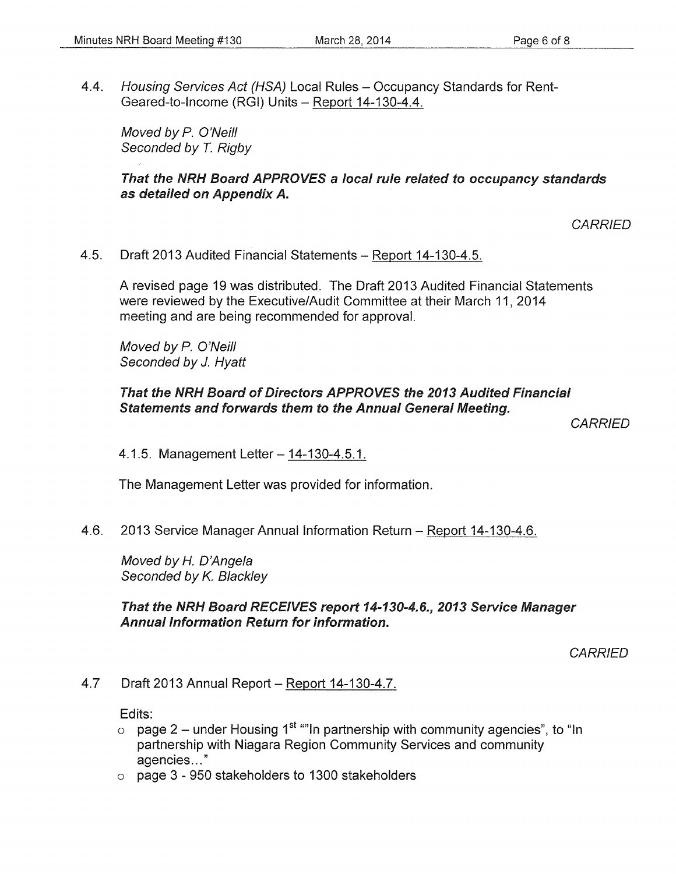4.4. Housing Services Act (HSA) Local Rules - Occupancy Standards for Rent-Geared-to-Income (RGI) Units- Report 14-130-4.4.

Moved by P. O'Neill Seconded by *T.* Rigby

#### That the NRH Board APPROVES a local rule related to occupancy standards as detailed on Appendix A.

**CARRIED** 

4.5. Draft 2013 Audited Financial Statements- Report 14-130-4.5.

A revised page 19 was distributed. The Draft 2013 Audited Financial Statements were reviewed by the Executive/Audit Committee at their March 11, 2014 meeting and are being recommended for approval.

Moved by P. O'Neill Seconded by J. Hyatt

#### That the NRH Board of Directors APPROVES the 2013 Audited Financial Statements and forwards them to the Annual General Meeting.

**CARRIED** 

4.1.5. Management Letter – 14-130-4.5.1.

The Management Letter was provided for information.

4.6. 2013 Service Manager Annual Information Return- Report 14-130-4.6.

Moved by *H.* D'Angela Seconded by K. Blackley

That the NRH Board RECEIVES report 14-130-4.6., 2013 Service Manager Annual Information Return for information.

**CARRIED** 

#### 4.7 Draft 2013 Annual Report- Report 14-130-4.7.

Edits:

- o page 2 under Housing 1<sup>st ""</sup>In partnership with community agencies", to "In partnership with Niagara Region Community Services and community agencies ... "
- o page 3 950 stakeholders to 1300 stakeholders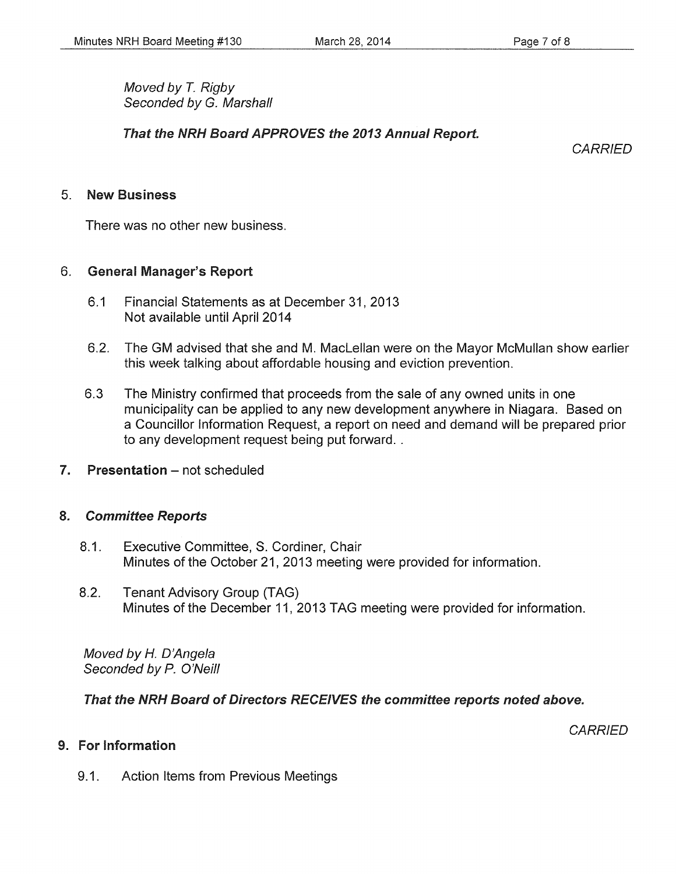Moved by *T.* Rigby Seconded by G. Marshall

That the NRH Board APPROVES the 2013 Annual Report.

**CARRIED** 

#### 5. New Business

There was no other new business.

#### 6. General Manager's Report

- 6.1 Financial Statements as at December 31,2013 Not available until April 2014
- 6.2. The GM advised that she and M. Maclellan were on the Mayor McMullan show earlier this week talking about affordable housing and eviction prevention.
- 6.3 The Ministry confirmed that proceeds from the sale of any owned units in one municipality can be applied to any new development anywhere in Niagara. Based on a Councillor Information Request, a report on need and demand will be prepared prior to any development request being put forward..
- 7. Presentation not scheduled

#### 8. Committee Reports

- 8.1. Executive Committee, S. Cordiner, Chair Minutes of the October 21, 2013 meeting were provided for information.
- 8.2. Tenant Advisory Group (TAG) Minutes of the December 11, 2013 TAG meeting were provided for information.

Moved by *H.* D'Angela Seconded by P. O'Neill

#### That the NRH Board of Directors RECEIVES the committee reports noted above.

**CARRIED** 

#### 9. For Information

9.1. Action Items from Previous Meetings